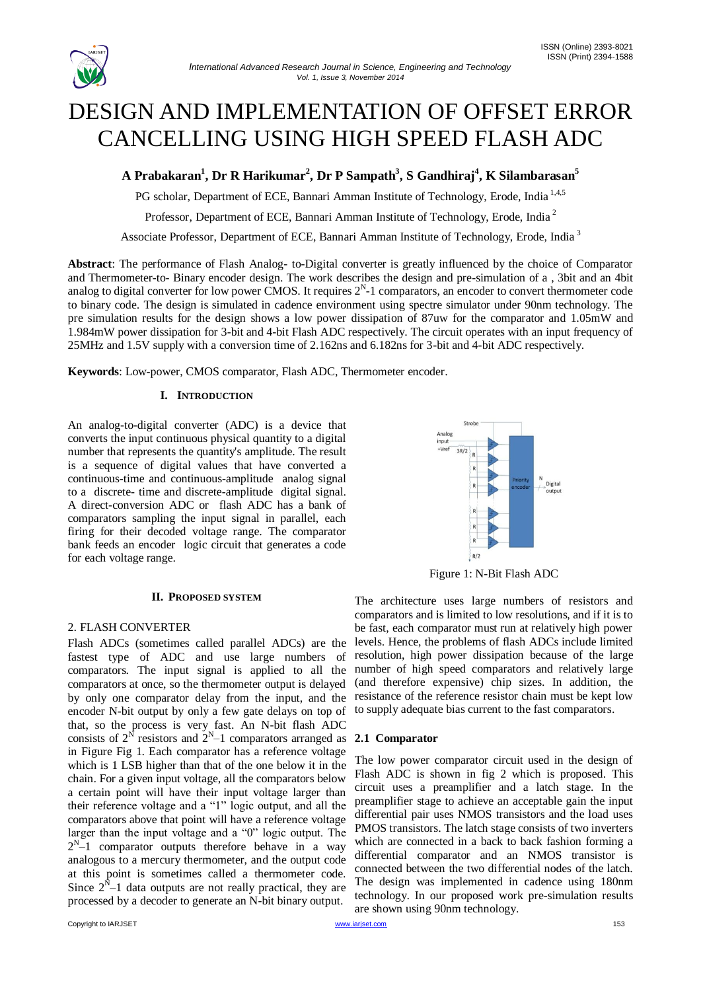

# DESIGN AND IMPLEMENTATION OF OFFSET ERROR CANCELLING USING HIGH SPEED FLASH ADC

**A Prabakaran<sup>1</sup> , Dr R Harikumar<sup>2</sup> , Dr P Sampath<sup>3</sup> , S Gandhiraj<sup>4</sup> , K Silambarasan<sup>5</sup>**

PG scholar, Department of ECE, Bannari Amman Institute of Technology, Erode, India<sup>1,4,5</sup>

Professor, Department of ECE, Bannari Amman Institute of Technology, Erode, India <sup>2</sup>

Associate Professor, Department of ECE, Bannari Amman Institute of Technology, Erode, India <sup>3</sup>

**Abstract**: The performance of Flash Analog- to-Digital converter is greatly influenced by the choice of Comparator and Thermometer-to- Binary encoder design. The work describes the design and pre-simulation of a , 3bit and an 4bit analog to digital converter for low power CMOS. It requires  $2^N$ -1 comparators, an encoder to convert thermometer code to binary code. The design is simulated in cadence environment using spectre simulator under 90nm technology. The pre simulation results for the design shows a low power dissipation of 87uw for the comparator and 1.05mW and 1.984mW power dissipation for 3-bit and 4-bit Flash ADC respectively. The circuit operates with an input frequency of 25MHz and 1.5V supply with a conversion time of 2.162ns and 6.182ns for 3-bit and 4-bit ADC respectively.

**Keywords**: Low-power, CMOS comparator, Flash ADC, Thermometer encoder.

## **I. INTRODUCTION**

An analog-to-digital converter (ADC) is a device that converts the input continuous physical quantity to a digital number that represents the quantity's amplitude. The result is a sequence of digital values that have converted a continuous-time and continuous-amplitude analog signal to a discrete- time and discrete-amplitude digital signal. A direct-conversion ADC or flash ADC has a bank of comparators sampling the input signal in parallel, each firing for their decoded voltage range. The comparator bank feeds an encoder logic circuit that generates a code for each voltage range.

#### **II. PROPOSED SYSTEM**

## 2. FLASH CONVERTER

Flash ADCs (sometimes called parallel ADCs) are the fastest type of ADC and use large numbers of comparators. The input signal is applied to all the comparators at once, so the thermometer output is delayed by only one comparator delay from the input, and the encoder N-bit output by only a few gate delays on top of that, so the process is very fast. An N-bit flash ADC consists of  $2^N$  resistors and  $2^N-1$  comparators arranged as in Figure Fig 1. Each comparator has a reference voltage which is 1 LSB higher than that of the one below it in the chain. For a given input voltage, all the comparators below a certain point will have their input voltage larger than their reference voltage and a "1" logic output, and all the comparators above that point will have a reference voltage larger than the input voltage and a "0" logic output. The  $2^{N}-1$  comparator outputs therefore behave in a way analogous to a mercury thermometer, and the output code at this point is sometimes called a thermometer code. Since  $2^{N}-1$  data outputs are not really practical, they are processed by a decoder to generate an N-bit binary output.



Figure 1: N-Bit Flash ADC

The architecture uses large numbers of resistors and comparators and is limited to low resolutions, and if it is to be fast, each comparator must run at relatively high power levels. Hence, the problems of flash ADCs include limited resolution, high power dissipation because of the large number of high speed comparators and relatively large (and therefore expensive) chip sizes. In addition, the resistance of the reference resistor chain must be kept low to supply adequate bias current to the fast comparators.

# **2.1 Comparator**

The low power comparator circuit used in the design of Flash ADC is shown in fig 2 which is proposed. This circuit uses a preamplifier and a latch stage. In the preamplifier stage to achieve an acceptable gain the input differential pair uses NMOS transistors and the load uses PMOS transistors. The latch stage consists of two inverters which are connected in a back to back fashion forming a differential comparator and an NMOS transistor is connected between the two differential nodes of the latch. The design was implemented in cadence using 180nm technology. In our proposed work pre-simulation results are shown using 90nm technology.

Copyright to IARJSET **WWW.iarjset.com** [www.iarjset.com](http://www.iarjset.com/) **Next and Service Control** to the USD of the USD of the USD of the USD of the USD of the USD of the USD of the USD of the USD of the USD of the USD of the USD of the U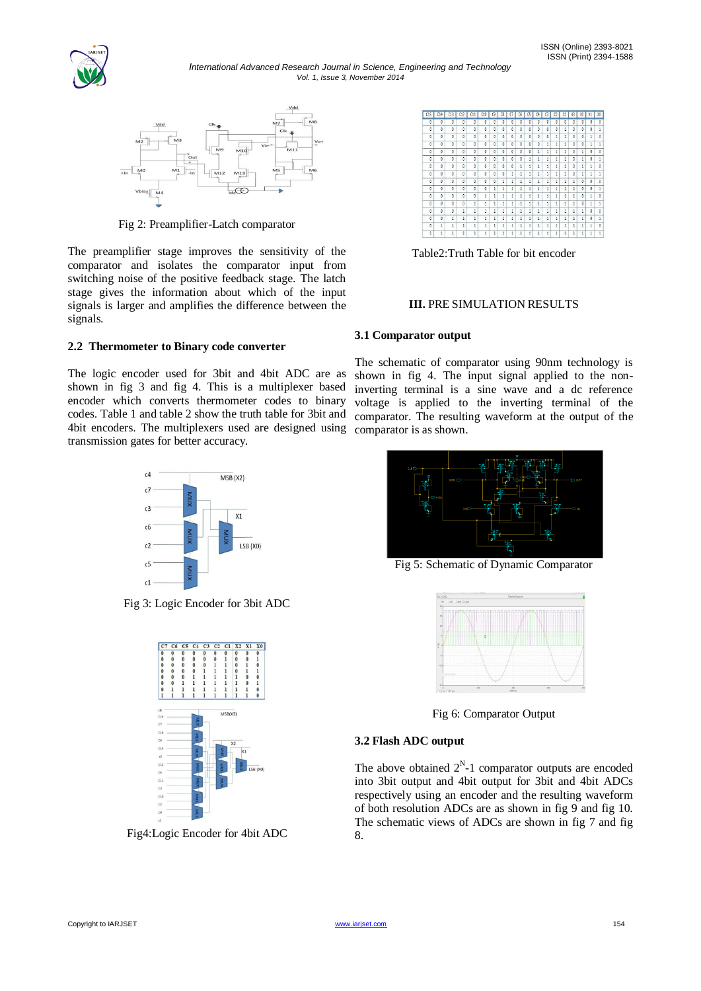

*International Advanced Research Journal in Science, Engineering and Technology Vol. 1, Issue 3, November 2014*



Fig 2: Preamplifier-Latch comparator

The preamplifier stage improves the sensitivity of the comparator and isolates the comparator input from switching noise of the positive feedback stage. The latch stage gives the information about which of the input signals is larger and amplifies the difference between the signals.

# **2.2 Thermometer to Binary code converter**

The logic encoder used for 3bit and 4bit ADC are as shown in fig 3 and fig 4. This is a multiplexer based encoder which converts thermometer codes to binary codes. Table 1 and table 2 show the truth table for 3bit and 4bit encoders. The multiplexers used are designed using transmission gates for better accuracy.



Fig 3: Logic Encoder for 3bit ADC



Fig4:Logic Encoder for 4bit ADC

| C15      | 614 | C13      | C12          | C11      | C10      | C9       | CS       | a        | C6            | CS           | C4       | G | $\mathbb{C}^2$ | C1       | X3       | X <sub>2</sub> | X1              | 30             |
|----------|-----|----------|--------------|----------|----------|----------|----------|----------|---------------|--------------|----------|---|----------------|----------|----------|----------------|-----------------|----------------|
| $\theta$ | ō   | $\theta$ | $\theta$     | Ō        | $\theta$ | o        | $\theta$ | $\theta$ | ø             | $\Omega$     | $\theta$ | ø | $\theta$       | $\Omega$ | $\theta$ | a              | $\ddot{\theta}$ | $\overline{0}$ |
| Ō        | ٥   | $\theta$ | $\theta$     | $\theta$ | $\theta$ | $\theta$ | ō        | $\theta$ | $\theta$      | $\theta$     | 0        | ø | $\theta$       | 1        | $\theta$ | 0              | o               | 1              |
| ō        | ٥   | $\theta$ | 0            | $\theta$ | 0        | $\theta$ | o        | o        | $\theta$      | 0            | 0        | ø | 1              | 1        | 0        | o              | 1               | o              |
| 0        | ٥   | 0        | ٥            | 0        | 0        | 0        | o        | Ð        | ø             | 0            | o        | 1 | 1              | 1        | 0        | o              | 1               | 1              |
| Ø        | o   | 0        | 0            | O.       | $\theta$ | e        | ø        | a        | 8             | $\theta$     | 1        | 1 | 1              | 1        | 0        | 1              | 0               | o              |
| $\Omega$ | ō   | $\Omega$ | O.           | ō        | $\theta$ | $\theta$ | $\theta$ | $\theta$ | ø             | 1            | 1        | 1 | 1              | $\Delta$ | $\theta$ | 1              | $\theta$        | 1              |
| Ō        | ٥   | $\theta$ | $\theta$     | O        | $\theta$ | 0        | o        | o        | 1             | 1            | 1        | 1 | 1              | 1        | $\theta$ | 1              | 1               | o              |
| ٥        | ٥   | $\theta$ | ٥            | $\theta$ | 0        | $\theta$ | ō        | 1        | $\frac{1}{2}$ | 1            | 1        | 1 | 1              | 1        | 0        | 1              | 1               | 1              |
| 0        | ٥   | $\theta$ | ٥            | $\theta$ | $\theta$ | 0        | 1        | 1        | $\frac{1}{2}$ | 1            | 1        | 1 | t              | $\Delta$ | 1        | o              | ø               | o              |
| 0        | a   | $\theta$ | a            | a        | $\theta$ | 1        | 1        | 1        | 1             | 1            | 1        | 1 | 1              | 2        | 1        | 0              | 0               | 1              |
| $\Omega$ | a   | $\Omega$ | a            | O.       | 1        | 1        | 1        | î.       | $\frac{1}{2}$ | 1            | 1        | 1 | 1              | 1        | 1        | 0              | 1               | 0              |
| $\theta$ | ٥   | $\theta$ | $\theta$     | 1        | 1        | 1        | 1        | 1        | $\frac{1}{2}$ | 1            | 1        | 1 | 1              | 1        | 1        | a              | 1               | 1              |
| ٥        | ٥   | $\theta$ | 1            | 1        | 1        | 1        | 1        | 1        | $\frac{1}{2}$ | $\mathbf{1}$ | 1        | 1 | 1              | 1        | 1        | 1              | o               | $\theta$       |
| ō        | ٥   | 1        | 1            | 1        | i        | ī        | 1        | 1        | $\frac{1}{2}$ | i            | 1        | 1 | i              | 1        | 1        | 1              | o               | 1              |
| 0        | 1   | 1        | $\mathbf{1}$ | 1        | i        | ī        | 1        | i        | $\frac{1}{2}$ | 1            | 1        | 1 | 1              | 1        | 1        | 1              | i               | ø              |
| 1        | 1   | 1        | 1            | 1        | İ        | 1        | 1        | i        | 1             | 1            | 1        | 1 | Í              | 1        | 1        | 1              | i               | 1              |

Table2:Truth Table for bit encoder

## **III.** PRE SIMULATION RESULTS

## **3.1 Comparator output**

The schematic of comparator using 90nm technology is shown in fig 4. The input signal applied to the noninverting terminal is a sine wave and a dc reference voltage is applied to the inverting terminal of the comparator. The resulting waveform at the output of the comparator is as shown.



Fig 5: Schematic of Dynamic Comparator



Fig 6: Comparator Output

#### **3.2 Flash ADC output**

The above obtained  $2^N-1$  comparator outputs are encoded into 3bit output and 4bit output for 3bit and 4bit ADCs respectively using an encoder and the resulting waveform of both resolution ADCs are as shown in fig 9 and fig 10. The schematic views of ADCs are shown in fig 7 and fig 8.